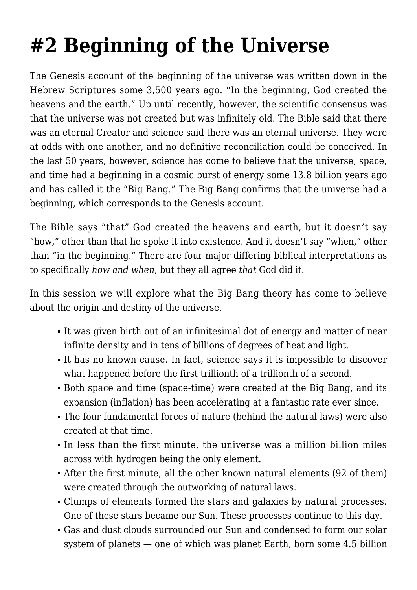## **[#2 Beginning of the Universe](https://socratesatsaddlebrooke.club/topics/beginning-of-the-universe/)**

The Genesis account of the beginning of the universe was written down in the Hebrew Scriptures some 3,500 years ago. "In the beginning, God created the heavens and the earth." Up until recently, however, the scientific consensus was that the universe was not created but was infinitely old. The Bible said that there was an eternal Creator and science said there was an eternal universe. They were at odds with one another, and no definitive reconciliation could be conceived. In the last 50 years, however, science has come to believe that the universe, space, and time had a beginning in a cosmic burst of energy some 13.8 billion years ago and has called it the "Big Bang." The Big Bang confirms that the universe had a beginning, which corresponds to the Genesis account.

The Bible says "that" God created the heavens and earth, but it doesn't say "how," other than that he spoke it into existence. And it doesn't say "when," other than "in the beginning." There are four major differing biblical interpretations as to specifically *how and when*, but they all agree *that* God did it.

In this session we will explore what the Big Bang theory has come to believe about the origin and destiny of the universe.

- It was given birth out of an infinitesimal dot of energy and matter of near infinite density and in tens of billions of degrees of heat and light.
- It has no known cause. In fact, science says it is impossible to discover what happened before the first trillionth of a trillionth of a second.
- Both space and time (space-time) were created at the Big Bang, and its expansion (inflation) has been accelerating at a fantastic rate ever since.
- The four fundamental forces of nature (behind the natural laws) were also created at that time.
- In less than the first minute, the universe was a million billion miles across with hydrogen being the only element.
- After the first minute, all the other known natural elements (92 of them) were created through the outworking of natural laws.
- Clumps of elements formed the stars and galaxies by natural processes. One of these stars became our Sun. These processes continue to this day.
- Gas and dust clouds surrounded our Sun and condensed to form our solar system of planets — one of which was planet Earth, born some 4.5 billion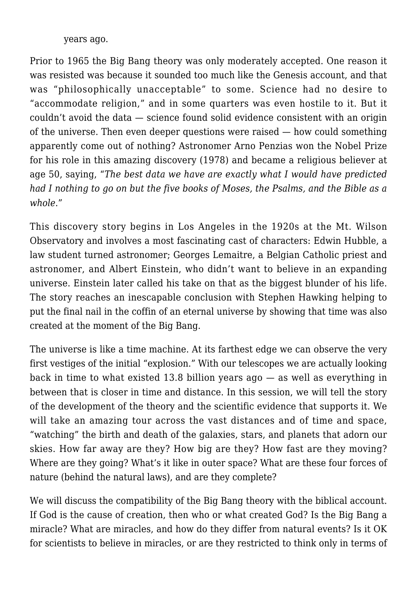years ago.

Prior to 1965 the Big Bang theory was only moderately accepted. One reason it was resisted was because it sounded too much like the Genesis account, and that was "philosophically unacceptable" to some. Science had no desire to "accommodate religion," and in some quarters was even hostile to it. But it couldn't avoid the data — science found solid evidence consistent with an origin of the universe. Then even deeper questions were raised — how could something apparently come out of nothing? Astronomer Arno Penzias won the Nobel Prize for his role in this amazing discovery (1978) and became a religious believer at age 50, saying, "*The best data we have are exactly what I would have predicted had I nothing to go on but the five books of Moses, the Psalms, and the Bible as a whole*."

This discovery story begins in Los Angeles in the 1920s at the Mt. Wilson Observatory and involves a most fascinating cast of characters: Edwin Hubble, a law student turned astronomer; Georges Lemaitre, a Belgian Catholic priest and astronomer, and Albert Einstein, who didn't want to believe in an expanding universe. Einstein later called his take on that as the biggest blunder of his life. The story reaches an inescapable conclusion with Stephen Hawking helping to put the final nail in the coffin of an eternal universe by showing that time was also created at the moment of the Big Bang.

The universe is like a time machine. At its farthest edge we can observe the very first vestiges of the initial "explosion." With our telescopes we are actually looking back in time to what existed 13.8 billion years ago — as well as everything in between that is closer in time and distance. In this session, we will tell the story of the development of the theory and the scientific evidence that supports it. We will take an amazing tour across the vast distances and of time and space, "watching" the birth and death of the galaxies, stars, and planets that adorn our skies. How far away are they? How big are they? How fast are they moving? Where are they going? What's it like in outer space? What are these four forces of nature (behind the natural laws), and are they complete?

We will discuss the compatibility of the Big Bang theory with the biblical account. If God is the cause of creation, then who or what created God? Is the Big Bang a miracle? What are miracles, and how do they differ from natural events? Is it OK for scientists to believe in miracles, or are they restricted to think only in terms of